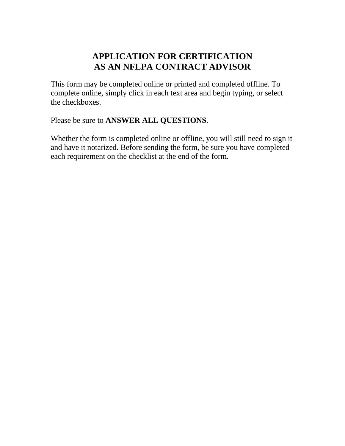# **APPLICATION FOR CERTIFICATION AS AN NFLPA CONTRACT ADVISOR**

This form may be completed online or printed and completed offline. To complete online, simply click in each text area and begin typing, or select the checkboxes.

Please be sure to **ANSWER ALL QUESTIONS**.

Whether the form is completed online or offline, you will still need to sign it and have it notarized. Before sending the form, be sure you have completed each requirement on the checklist at the end of the form.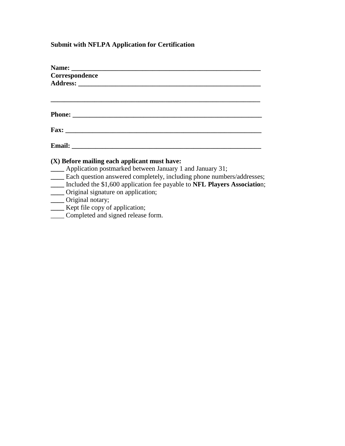## **Submit with NFLPA Application for Certification**

| Correspondence                                                                                        |
|-------------------------------------------------------------------------------------------------------|
|                                                                                                       |
|                                                                                                       |
|                                                                                                       |
|                                                                                                       |
|                                                                                                       |
|                                                                                                       |
| (X) Before mailing each applicant must have:                                                          |
| ____ Application postmarked between January 1 and January 31;                                         |
| <b>Each question answered completely, including phone numbers/addresses;</b>                          |
| Included the \$1,600 application fee payable to NFL Players Association;                              |
| ____ Original signature on application;                                                               |
| $\bigcap_{i=1}^n A_i$ is the set of $A_i$ in the set of $A_i$ is the set of $A_i$ is the set of $A_i$ |

- **\_\_\_\_** Original notary;
- **\_\_\_\_** Kept file copy of application;
- \_\_\_\_ Completed and signed release form.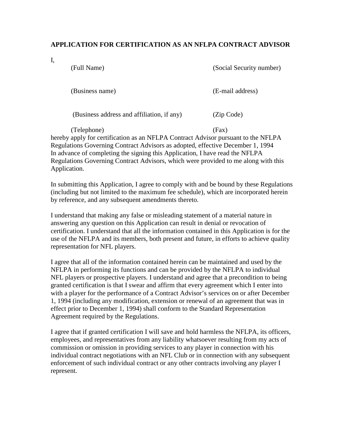### **APPLICATION FOR CERTIFICATION AS AN NFLPA CONTRACT ADVISOR**

I,

(Full Name) (Social Security number)

(Business name) (E-mail address)

(Business address and affiliation, if any) (Zip Code)

(Telephone) (Fax) hereby apply for certification as an NFLPA Contract Advisor pursuant to the NFLPA Regulations Governing Contract Advisors as adopted, effective December 1, 1994 In advance of completing the signing this Application, I have read the NFLPA Regulations Governing Contract Advisors, which were provided to me along with this Application.

In submitting this Application, I agree to comply with and be bound by these Regulations (including but not limited to the maximum fee schedule), which are incorporated herein by reference, and any subsequent amendments thereto.

I understand that making any false or misleading statement of a material nature in answering any question on this Application can result in denial or revocation of certification. I understand that all the information contained in this Application is for the use of the NFLPA and its members, both present and future, in efforts to achieve quality representation for NFL players.

I agree that all of the information contained herein can be maintained and used by the NFLPA in performing its functions and can be provided by the NFLPA to individual NFL players or prospective players. I understand and agree that a precondition to being granted certification is that I swear and affirm that every agreement which I enter into with a player for the performance of a Contract Advisor's services on or after December 1, 1994 (including any modification, extension or renewal of an agreement that was in effect prior to December 1, 1994) shall conform to the Standard Representation Agreement required by the Regulations.

I agree that if granted certification I will save and hold harmless the NFLPA, its officers, employees, and representatives from any liability whatsoever resulting from my acts of commission or omission in providing services to any player in connection with his individual contract negotiations with an NFL Club or in connection with any subsequent enforcement of such individual contract or any other contracts involving any player I represent.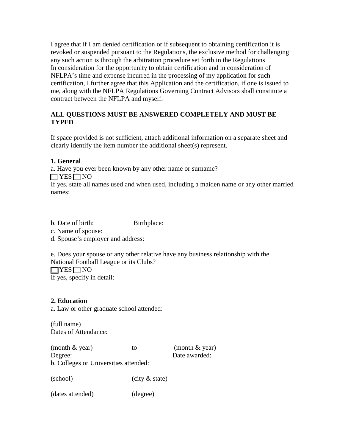I agree that if I am denied certification or if subsequent to obtaining certification it is revoked or suspended pursuant to the Regulations, the exclusive method for challenging any such action is through the arbitration procedure set forth in the Regulations In consideration for the opportunity to obtain certification and in consideration of NFLPA's time and expense incurred in the processing of my application for such certification, I further agree that this Application and the certification, if one is issued to me, along with the NFLPA Regulations Governing Contract Advisors shall constitute a contract between the NFLPA and myself.

### **ALL QUESTIONS MUST BE ANSWERED COMPLETELY AND MUST BE TYPED**

If space provided is not sufficient, attach additional information on a separate sheet and clearly identify the item number the additional sheet(s) represent.

### **1. General**

a. Have you ever been known by any other name or surname?

### $\Box$ YES  $\Box$ NO

If yes, state all names used and when used, including a maiden name or any other married names:

b. Date of birth: Birthplace:

c. Name of spouse:

d. Spouse's employer and address:

e. Does your spouse or any other relative have any business relationship with the National Football League or its Clubs?  $\Box$ YES  $\Box$ NO If yes, specify in detail:

### **2. Education**

a. Law or other graduate school attended:

(full name) Dates of Attendance:

| (month $&$ year)                      | tΟ | (month $&$ year) |
|---------------------------------------|----|------------------|
| Degree:                               |    | Date awarded:    |
| b. Colleges or Universities attended: |    |                  |

(school) (city & state)

(dates attended) (degree)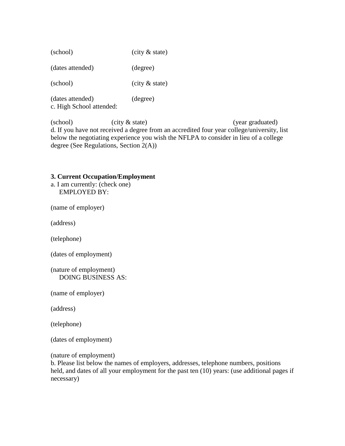| $(city &$ state) |
|------------------|
|                  |

(dates attended) (degree)

(school) (city & state)

(dates attended) (degree) c. High School attended:

(school) (city & state) (year graduated) d. If you have not received a degree from an accredited four year college/university, list below the negotiating experience you wish the NFLPA to consider in lieu of a college degree (See Regulations, Section 2(A))

#### **3. Current Occupation/Employment**

a. I am currently: (check one) EMPLOYED BY:

(name of employer)

(address)

(telephone)

(dates of employment)

(nature of employment) DOING BUSINESS AS:

(name of employer)

(address)

(telephone)

(dates of employment)

(nature of employment)

b. Please list below the names of employers, addresses, telephone numbers, positions held, and dates of all your employment for the past ten  $(10)$  years: (use additional pages if necessary)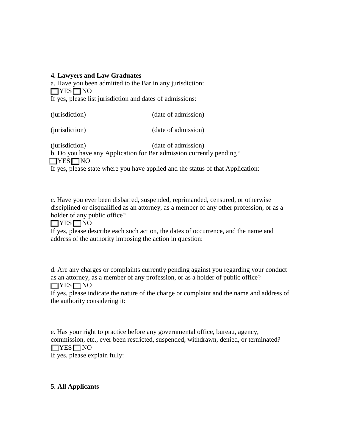### **4. Lawyers and Law Graduates**

a. Have you been admitted to the Bar in any jurisdiction:  $\Box$ YES $\Box$ NO If yes, please list jurisdiction and dates of admissions:

(jurisdiction) (date of admission)

(jurisdiction) (date of admission)

(jurisdiction) (date of admission)

b. Do you have any Application for Bar admission currently pending?

 $\Box$ YES $\Box$ NO

If yes, please state where you have applied and the status of that Application:

c. Have you ever been disbarred, suspended, reprimanded, censured, or otherwise disciplined or disqualified as an attorney, as a member of any other profession, or as a holder of any public office?

 $\Box$ YES  $\Box$ NO

If yes, please describe each such action, the dates of occurrence, and the name and address of the authority imposing the action in question:

d. Are any charges or complaints currently pending against you regarding your conduct as an attorney, as a member of any profession, or as a holder of public office?  $\Box$ YES  $\Box$ NO

If yes, please indicate the nature of the charge or complaint and the name and address of the authority considering it:

e. Has your right to practice before any governmental office, bureau, agency, commission, etc., ever been restricted, suspended, withdrawn, denied, or terminated?  $\Box$ YES  $\Box$ NO If yes, please explain fully:

### **5. All Applicants**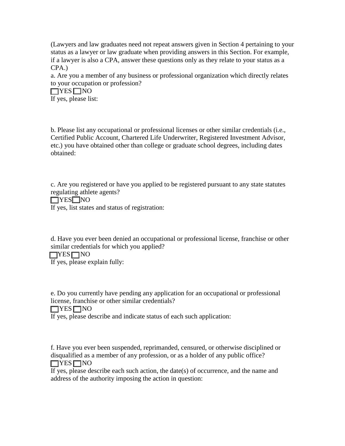(Lawyers and law graduates need not repeat answers given in Section 4 pertaining to your status as a lawyer or law graduate when providing answers in this Section. For example, if a lawyer is also a CPA, answer these questions only as they relate to your status as a CPA.)

a. Are you a member of any business or professional organization which directly relates to your occupation or profession?

 $\Box$ YES  $\Box$ NO If yes, please list:

b. Please list any occupational or professional licenses or other similar credentials (i.e., Certified Public Account, Chartered Life Underwriter, Registered Investment Advisor, etc.) you have obtained other than college or graduate school degrees, including dates obtained:

c. Are you registered or have you applied to be registered pursuant to any state statutes regulating athlete agents?

 $\Box$ YES $\Box$ NO

If yes, list states and status of registration:

d. Have you ever been denied an occupational or professional license, franchise or other similar credentials for which you applied?

 $\Box$ YES $\Box$ NO

If yes, please explain fully:

e. Do you currently have pending any application for an occupational or professional license, franchise or other similar credentials?

 $\Box$ YES  $\Box$ NO

If yes, please describe and indicate status of each such application:

f. Have you ever been suspended, reprimanded, censured, or otherwise disciplined or disqualified as a member of any profession, or as a holder of any public office?  $\Box$ YES $\Box$ NO

If yes, please describe each such action, the date(s) of occurrence, and the name and address of the authority imposing the action in question: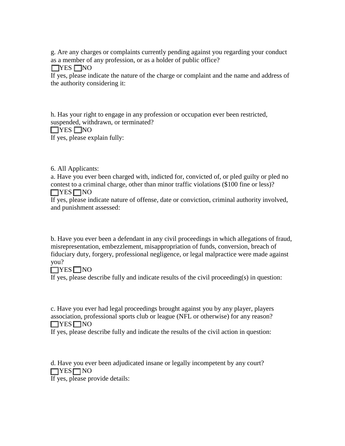g. Are any charges or complaints currently pending against you regarding your conduct as a member of any profession, or as a holder of public office?

 $\Box$ YES  $\Box$ NO

If yes, please indicate the nature of the charge or complaint and the name and address of the authority considering it:

h. Has your right to engage in any profession or occupation ever been restricted, suspended, withdrawn, or terminated?  $\Box$ YES  $\Box$ NO

If yes, please explain fully:

6. All Applicants:

a. Have you ever been charged with, indicted for, convicted of, or pled guilty or pled no contest to a criminal charge, other than minor traffic violations (\$100 fine or less)?  $\Box$ YES  $\Box$ NO

If yes, please indicate nature of offense, date or conviction, criminal authority involved, and punishment assessed:

b. Have you ever been a defendant in any civil proceedings in which allegations of fraud, misrepresentation, embezzlement, misappropriation of funds, conversion, breach of fiduciary duty, forgery, professional negligence, or legal malpractice were made against you?

## $\Box$ YES  $\Box$ NO

If yes, please describe fully and indicate results of the civil proceeding(s) in question:

c. Have you ever had legal proceedings brought against you by any player, players association, professional sports club or league (NFL or otherwise) for any reason?  $\Box$ YES  $\Box$ NO

If yes, please describe fully and indicate the results of the civil action in question:

d. Have you ever been adjudicated insane or legally incompetent by any court?  $\Box$ YES $\Box$ NO

If yes, please provide details: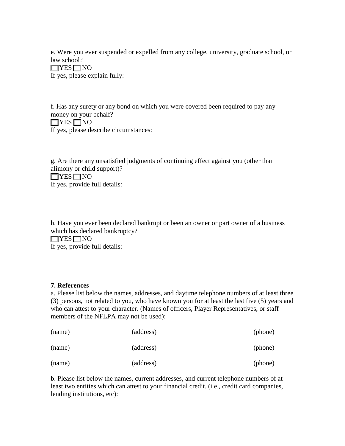e. Were you ever suspended or expelled from any college, university, graduate school, or law school?

 $\Box$ YES $\Box$ NO If yes, please explain fully:

f. Has any surety or any bond on which you were covered been required to pay any money on your behalf?  $\Box$ YES  $\Box$ NO If yes, please describe circumstances:

g. Are there any unsatisfied judgments of continuing effect against you (other than alimony or child support)?  $\Box$ YES $\Box$ NO If yes, provide full details:

h. Have you ever been declared bankrupt or been an owner or part owner of a business which has declared bankruptcy?  $\Box$ YES  $\Box$ NO If yes, provide full details:

### **7. References**

a. Please list below the names, addresses, and daytime telephone numbers of at least three (3) persons, not related to you, who have known you for at least the last five (5) years and who can attest to your character. (Names of officers, Player Representatives, or staff members of the NFLPA may not be used):

| (name) | (address) | (phone) |
|--------|-----------|---------|
| (name) | (address) | (phone) |
| (name) | (address) | (phone) |

b. Please list below the names, current addresses, and current telephone numbers of at least two entities which can attest to your financial credit. (i.e., credit card companies, lending institutions, etc):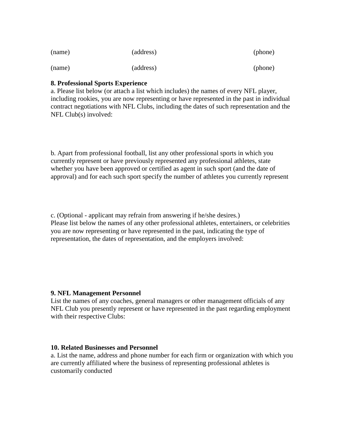| (name) | (address) | (phone) |
|--------|-----------|---------|
| (name) | (address) | (phone) |

### **8. Professional Sports Experience**

a. Please list below (or attach a list which includes) the names of every NFL player, including rookies, you are now representing or have represented in the past in individual contract negotiations with NFL Clubs, including the dates of such representation and the NFL Club(s) involved:

b. Apart from professional football, list any other professional sports in which you currently represent or have previously represented any professional athletes, state whether you have been approved or certified as agent in such sport (and the date of approval) and for each such sport specify the number of athletes you currently represent

c. (Optional - applicant may refrain from answering if he/she desires.) Please list below the names of any other professional athletes, entertainers, or celebrities you are now representing or have represented in the past, indicating the type of representation, the dates of representation, and the employers involved:

### **9. NFL Management Personnel**

List the names of any coaches, general managers or other management officials of any NFL Club you presently represent or have represented in the past regarding employment with their respective Clubs:

### **10. Related Businesses and Personnel**

a. List the name, address and phone number for each firm or organization with which you are currently affiliated where the business of representing professional athletes is customarily conducted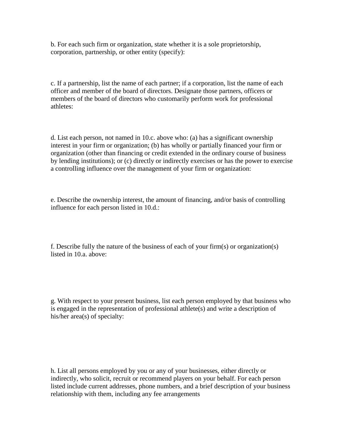b. For each such firm or organization, state whether it is a sole proprietorship, corporation, partnership, or other entity (specify):

c. If a partnership, list the name of each partner; if a corporation, list the name of each officer and member of the board of directors. Designate those partners, officers or members of the board of directors who customarily perform work for professional athletes:

d. List each person, not named in 10.c. above who: (a) has a significant ownership interest in your firm or organization; (b) has wholly or partially financed your firm or organization (other than financing or credit extended in the ordinary course of business by lending institutions); or (c) directly or indirectly exercises or has the power to exercise a controlling influence over the management of your firm or organization:

e. Describe the ownership interest, the amount of financing, and/or basis of controlling influence for each person listed in 10.d.:

f. Describe fully the nature of the business of each of your firm(s) or organization(s) listed in 10.a. above:

g. With respect to your present business, list each person employed by that business who is engaged in the representation of professional athlete(s) and write a description of his/her area(s) of specialty:

h. List all persons employed by you or any of your businesses, either directly or indirectly, who solicit, recruit or recommend players on your behalf. For each person listed include current addresses, phone numbers, and a brief description of your business relationship with them, including any fee arrangements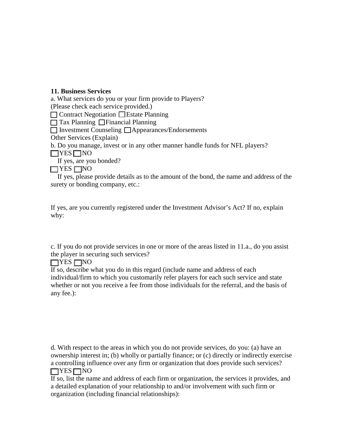### **11. Business Services**

a. What services do you or your firm provide to Players?

(Please check each service provided.)

 $\Box$  Contract Negotiation  $\Box$  Estate Planning

 $\Box$  Tax Planning  $\Box$  Financial Planning

 $\Box$  Investment Counseling  $\Box$  Appearances/Endorsements

Other Services (Explain)

b. Do you manage, invest or in any other manner handle funds for NFL players?

 $\Box$ YES  $\Box$ NO

If yes, are you bonded?

 $\Box$ YES  $\Box$ NO

 If yes, please provide details as to the amount of the bond, the name and address of the surety or bonding company, etc.:

If yes, are you currently registered under the Investment Advisor's Act? If no, explain why:

c. If you do not provide services in one or more of the areas listed in 11.a., do you assist the player in securing such services?

 $\Box$ YES  $\Box$ NO

If so, describe what you do in this regard (include name and address of each individual/firm to which you customarily refer players for each such service and state whether or not you receive a fee from those individuals for the referral, and the basis of any fee.):

d. With respect to the areas in which you do not provide services, do you: (a) have an ownership interest in; (b) wholly or partially finance; or (c) directly or indirectly exercise a controlling influence over any firm or organization that does provide such services?  $\Box$ YES $\Box$ NO

If so, list the name and address of each firm or organization, the services it provides, and a detailed explanation of your relationship to and/or involvement with such firm or organization (including financial relationships):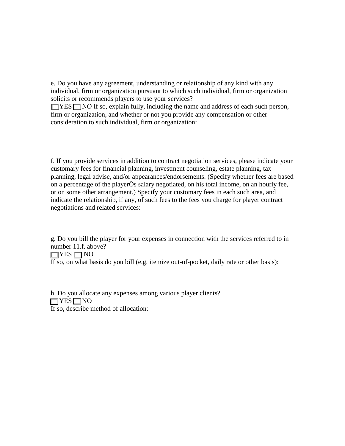e. Do you have any agreement, understanding or relationship of any kind with any individual, firm or organization pursuant to which such individual, firm or organization solicits or recommends players to use your services?

 $\Box$  YES  $\Box$  NO If so, explain fully, including the name and address of each such person, firm or organization, and whether or not you provide any compensation or other consideration to such individual, firm or organization:

f. If you provide services in addition to contract negotiation services, please indicate your customary fees for financial planning, investment counseling, estate planning, tax planning, legal advise, and/or appearances/endorsements. (Specify whether fees are based on a percentage of the playerÕs salary negotiated, on his total income, on an hourly fee, or on some other arrangement.) Specify your customary fees in each such area, and indicate the relationship, if any, of such fees to the fees you charge for player contract negotiations and related services:

g. Do you bill the player for your expenses in connection with the services referred to in number 11.f. above?

 $\Box$ YES  $\Box$ NO

If so, on what basis do you bill (e.g. itemize out-of-pocket, daily rate or other basis):

h. Do you allocate any expenses among various player clients?  $\Box$ YES $\Box$ NO If so, describe method of allocation: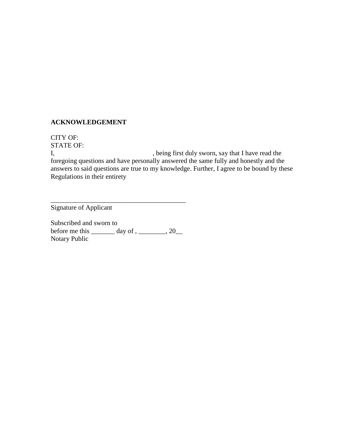### **ACKNOWLEDGEMENT**

CITY OF: STATE OF:

I, being first duly sworn, say that I have read the foregoing questions and have personally answered the same fully and honestly and the answers to said questions are true to my knowledge. Further, I agree to be bound by these Regulations in their entirety

Signature of Applicant

Subscribed and sworn to before me this  $\_\_\_\_\$  day of ,  $\_\_\_\_\_\$  , 20 $\_\_\_\_\$ Notary Public

\_\_\_\_\_\_\_\_\_\_\_\_\_\_\_\_\_\_\_\_\_\_\_\_\_\_\_\_\_\_\_\_\_\_\_\_\_\_\_\_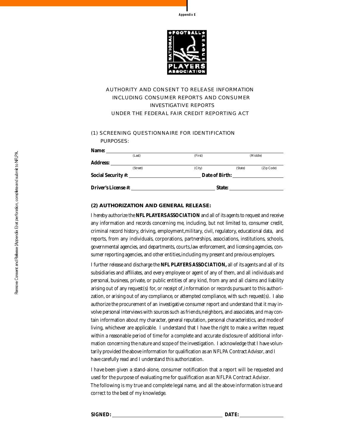



### AUTHORITY AND CONSENT TO RELEASE INFORMATION INCLUDING CONSUMER REPORTS AND CONSUMER **INVESTIGATIVE REPORTS** UNDER THE FEDERAL FAIR CREDIT REPORTING ACT

#### (1) SCREENING QUESTIONNAIRE FOR IDENTIFICATION PURPOSES:

| Driver's License #: |                | State:  |         |            |
|---------------------|----------------|---------|---------|------------|
|                     | Date of Birth: |         |         |            |
|                     | (Street)       | (City)  | (State) | (Zip Code) |
| <b>Address:</b>     |                |         |         |            |
|                     | (Last)         | (First) |         | (Middle)   |
| Name:               |                |         |         |            |

#### **(2) AUTHORIZATION AND GENERAL RELEASE:**

I hereby authorize the **NFL PLAYERS ASSOCIATION** and all of its agents to request and receive any information and records concerning me, including, but not limited to, consumer credit, criminal record history, driving, employment,military, civil, regulatory, educational data, and reports, from any individuals, corporations, partnerships, associations, institutions, schools, governmental agencies, and departments, courts, law enforcement, and licensing agencies, consumer reporting agencies, and other entities, including my present and previous employers.

I further release and discharge the **NFL PLAYERS ASSOCIATION**, all of its agents and all of its subsidiaries and affiliates, and every employee or agent of any of them, and all individuals and personal, business, private, or public entities of any kind, from any and all claims and liability arising out of any request(s) for, or receipt of, information or records pursuant to this authorization, or arising out of any compliance, or attempted compliance, with such request(s). I also authorize the procurement of an investigative consumer report and understand that it may involve personal interviews with sources such as friends, neighbors, and associates, and may contain information about my character, general reputation, personal characteristics, and mode of living, whichever are applicable. I understand that I have the right to make a written request within a reasonable period of time for a complete and accurate disclosure of additional information concerning the nature and scope of the investigation. I acknowledge that I have voluntarily provided the above information for qualification as an NFLPA Contract Advisor, and I have carefully read and I understand this authorization.

I have been given a stand-alone, consumer notification that a report will be requested and used for the purpose of evaluating me for qualification as an NFLPA Contract Advisor. The following is my true and complete legal name, and all the above information is true and correct to the best of my knowledge.